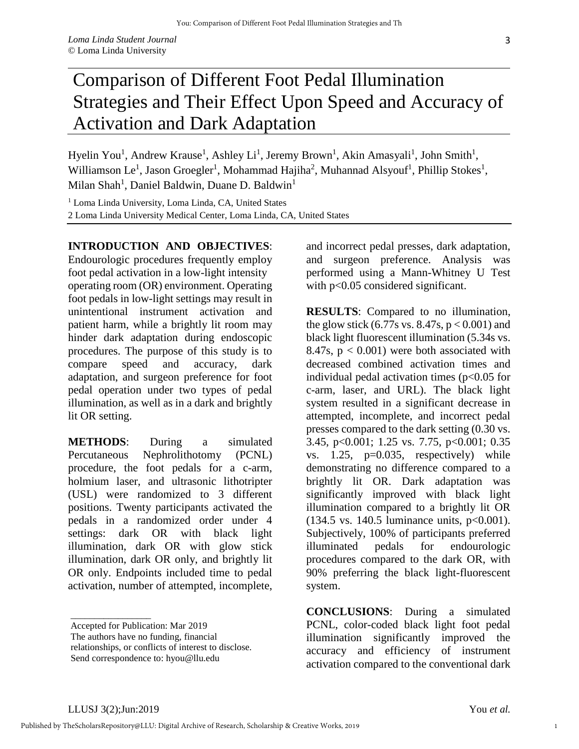## Comparison of Different Foot Pedal Illumination Strategies and Their Effect Upon Speed and Accuracy of Activation and Dark Adaptation

Hyelin You<sup>1</sup>, Andrew Krause<sup>1</sup>, Ashley Li<sup>1</sup>, Jeremy Brown<sup>1</sup>, Akin Amasyali<sup>1</sup>, John Smith<sup>1</sup>, Williamson Le<sup>1</sup>, Jason Groegler<sup>1</sup>, Mohammad Hajiha<sup>2</sup>, Muhannad Alsyouf<sup>1</sup>, Phillip Stokes<sup>1</sup>, Milan Shah<sup>1</sup>, Daniel Baldwin, Duane D. Baldwin<sup>1</sup>

<sup>1</sup> Loma Linda University, Loma Linda, CA, United States 2 Loma Linda University Medical Center, Loma Linda, CA, United States

## **INTRODUCTION AND OBJECTIVES**:

Endourologic procedures frequently employ foot pedal activation in a low-light intensity operating room (OR) environment. Operating foot pedals in low-light settings may result in unintentional instrument activation and patient harm, while a brightly lit room may hinder dark adaptation during endoscopic procedures. The purpose of this study is to compare speed and accuracy, dark adaptation, and surgeon preference for foot pedal operation under two types of pedal illumination, as well as in a dark and brightly lit OR setting.

**METHODS**: During a simulated Percutaneous Nephrolithotomy (PCNL) procedure, the foot pedals for a c-arm, holmium laser, and ultrasonic lithotripter (USL) were randomized to 3 different positions. Twenty participants activated the pedals in a randomized order under 4 settings: dark OR with black light illumination, dark OR with glow stick illumination, dark OR only, and brightly lit OR only. Endpoints included time to pedal activation, number of attempted, incomplete,

and incorrect pedal presses, dark adaptation, and surgeon preference. Analysis was performed using a Mann-Whitney U Test with  $p<0.05$  considered significant.

**RESULTS**: Compared to no illumination, the glow stick  $(6.77s \text{ vs. } 8.47s, p < 0.001)$  and black light fluorescent illumination (5.34s vs. 8.47s,  $p < 0.001$ ) were both associated with decreased combined activation times and individual pedal activation times ( $p<0.05$  for c-arm, laser, and URL). The black light system resulted in a significant decrease in attempted, incomplete, and incorrect pedal presses compared to the dark setting (0.30 vs. 3.45, p<0.001; 1.25 vs. 7.75, p<0.001; 0.35 vs.  $1.25$ ,  $p=0.035$ , respectively) while demonstrating no difference compared to a brightly lit OR. Dark adaptation was significantly improved with black light illumination compared to a brightly lit OR  $(134.5 \text{ vs. } 140.5 \text{ luminance units}, \text{p} < 0.001).$ Subjectively, 100% of participants preferred illuminated pedals for endourologic procedures compared to the dark OR, with 90% preferring the black light-fluorescent system.

**CONCLUSIONS**: During a simulated PCNL, color-coded black light foot pedal illumination significantly improved the accuracy and efficiency of instrument activation compared to the conventional dark

\_\_\_\_\_\_\_\_\_\_\_\_\_\_\_\_\_

1

Accepted for Publication: Mar 2019

The authors have no funding, financial

relationships, or conflicts of interest to disclose.

Send correspondence to: hyou@llu.edu